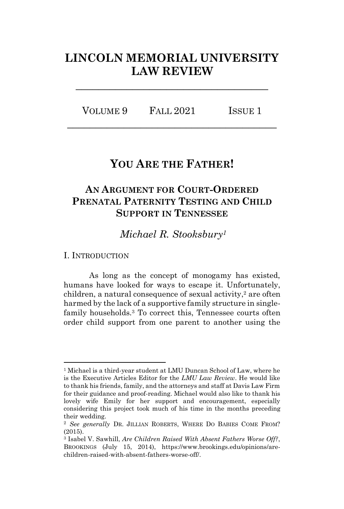# **LINCOLN MEMORIAL UNIVERSITY LAW REVIEW**

**\_\_\_\_\_\_\_\_\_\_\_\_\_\_\_\_\_\_\_\_\_\_\_\_\_\_\_\_\_\_\_\_\_\_**

VOLUME 9 FALL 2021 ISSUE 1 **\_\_\_\_\_\_\_\_\_\_\_\_\_\_\_\_\_\_\_\_\_\_\_\_\_\_\_\_\_\_\_\_\_\_\_\_\_**

## **YOU ARE THE FATHER!**

## **AN ARGUMENT FOR COURT-ORDERED PRENATAL PATERNITY TESTING AND CHILD SUPPORT IN TENNESSEE**

*Michael R. Stooksbury<sup>1</sup>*

I. INTRODUCTION

As long as the concept of monogamy has existed, humans have looked for ways to escape it. Unfortunately, children, a natural consequence of sexual activity, <sup>2</sup> are often harmed by the lack of a supportive family structure in singlefamily households.<sup>3</sup> To correct this, Tennessee courts often order child support from one parent to another using the

<sup>1</sup> Michael is a third-year student at LMU Duncan School of Law, where he is the Executive Articles Editor for the *LMU Law Review*. He would like to thank his friends, family, and the attorneys and staff at Davis Law Firm for their guidance and proof-reading. Michael would also like to thank his lovely wife Emily for her support and encouragement, especially considering this project took much of his time in the months preceding their wedding.

<sup>2</sup> *See generally* DR. JILLIAN ROBERTS, WHERE DO BABIES COME FROM? (2015).

<sup>3</sup> Isabel V. Sawhill, *Are Children Raised With Absent Fathers Worse Off?*, BROOKINGS (July 15, 2014), https://www.brookings.edu/opinions/arechildren-raised-with-absent-fathers-worse-off/.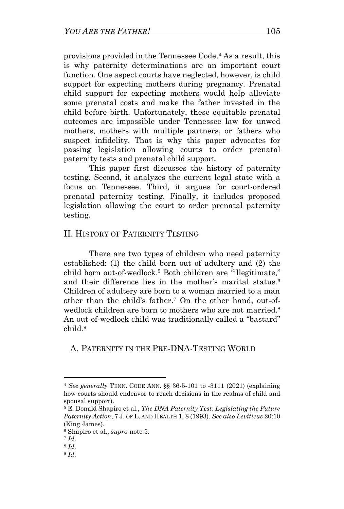provisions provided in the Tennessee Code. <sup>4</sup> As a result, this is why paternity determinations are an important court function. One aspect courts have neglected, however, is child support for expecting mothers during pregnancy. Prenatal child support for expecting mothers would help alleviate some prenatal costs and make the father invested in the child before birth. Unfortunately, these equitable prenatal outcomes are impossible under Tennessee law for unwed mothers, mothers with multiple partners, or fathers who suspect infidelity. That is why this paper advocates for passing legislation allowing courts to order prenatal paternity tests and prenatal child support.

This paper first discusses the history of paternity testing. Second, it analyzes the current legal state with a focus on Tennessee. Third, it argues for court-ordered prenatal paternity testing. Finally, it includes proposed legislation allowing the court to order prenatal paternity testing.

## II. HISTORY OF PATERNITY TESTING

There are two types of children who need paternity established: (1) the child born out of adultery and (2) the child born out-of-wedlock.<sup>5</sup> Both children are "illegitimate," and their difference lies in the mother's marital status.<sup>6</sup> Children of adultery are born to a woman married to a man other than the child's father.<sup>7</sup> On the other hand, out-ofwedlock children are born to mothers who are not married. 8 An out-of-wedlock child was traditionally called a "bastard" child.<sup>9</sup>

## A. PATERNITY IN THE PRE-DNA-TESTING WORLD

<sup>4</sup> *See generally* TENN. CODE ANN. §§ 36-5-101 to -3111 (2021) (explaining how courts should endeavor to reach decisions in the realms of child and spousal support).

<sup>5</sup> E. Donald Shapiro et al., *The DNA Paternity Test: Legislating the Future Paternity Action*, 7 J. OF L. AND HEALTH 1, 8 (1993). *See also Leviticus* 20:10 (King James).

<sup>6</sup> Shapiro et al., *supra* note 5.

<sup>7</sup> *Id*.

<sup>8</sup> *Id*.

<sup>9</sup> *Id*.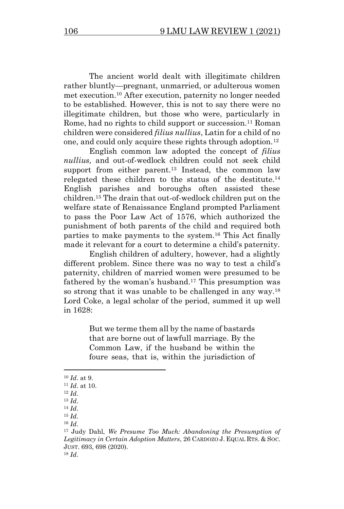The ancient world dealt with illegitimate children rather bluntly—pregnant, unmarried, or adulterous women met execution. <sup>10</sup> After execution, paternity no longer needed to be established. However, this is not to say there were no illegitimate children, but those who were, particularly in Rome, had no rights to child support or succession.<sup>11</sup> Roman children were considered *filius nullius*, Latin for a child of no one, and could only acquire these rights through adoption.<sup>12</sup>

English common law adopted the concept of *filius nullius,* and out-of-wedlock children could not seek child support from either parent.<sup>13</sup> Instead, the common law relegated these children to the status of the destitute.<sup>14</sup> English parishes and boroughs often assisted these children.<sup>15</sup> The drain that out-of-wedlock children put on the welfare state of Renaissance England prompted Parliament to pass the Poor Law Act of 1576, which authorized the punishment of both parents of the child and required both parties to make payments to the system.<sup>16</sup> This Act finally made it relevant for a court to determine a child's paternity.

English children of adultery, however, had a slightly different problem. Since there was no way to test a child's paternity, children of married women were presumed to be fathered by the woman's husband.<sup>17</sup> This presumption was so strong that it was unable to be challenged in any way.<sup>18</sup> Lord Coke, a legal scholar of the period, summed it up well in 1628:

> But we terme them all by the name of bastards that are borne out of lawfull marriage. By the Common Law, if the husband be within the foure seas, that is, within the jurisdiction of

<sup>10</sup> *Id*. at 9.

<sup>11</sup> *Id*. at 10.

<sup>12</sup> *Id*.

<sup>13</sup> *Id*.

<sup>14</sup> *Id*. <sup>15</sup> *Id*.

<sup>16</sup> *Id*.

<sup>17</sup> Judy Dahl, *We Presume Too Much: Abandoning the Presumption of Legitimacy in Certain Adoption Matters*, 26 CARDOZO J. EQUAL RTS. & SOC. JUST. 693, 698 (2020). <sup>18</sup> *Id*.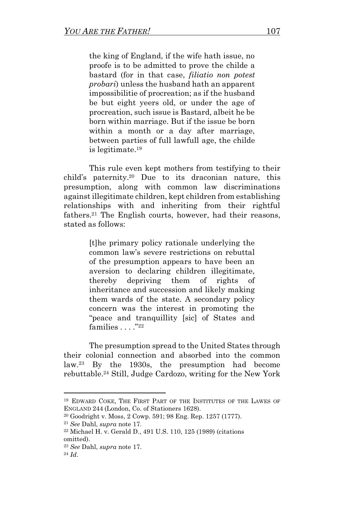the king of England, if the wife hath issue, no proofe is to be admitted to prove the childe a bastard (for in that case, *filiatio non potest probari*) unless the husband hath an apparent impossibilitie of procreation; as if the husband be but eight yeers old, or under the age of procreation, such issue is Bastard, albeit he be born within marriage. But if the issue be born within a month or a day after marriage, between parties of full lawfull age, the childe is legitimate. 19

This rule even kept mothers from testifying to their child's paternity.<sup>20</sup> Due to its draconian nature, this presumption, along with common law discriminations against illegitimate children, kept children from establishing relationships with and inheriting from their rightful fathers.<sup>21</sup> The English courts, however, had their reasons, stated as follows:

> [t]he primary policy rationale underlying the common law's severe restrictions on rebuttal of the presumption appears to have been an aversion to declaring children illegitimate, thereby depriving them of rights of inheritance and succession and likely making them wards of the state. A secondary policy concern was the interest in promoting the "peace and tranquillity [sic] of States and families  $\dots$ ."22

The presumption spread to the United States through their colonial connection and absorbed into the common law.<sup>23</sup> By the 1930s, the presumption had become rebuttable. <sup>24</sup> Still, Judge Cardozo, writing for the New York

<sup>19</sup> EDWARD COKE, THE FIRST PART OF THE INSTITUTES OF THE LAWES OF ENGLAND 244 (London, Co. of Stationers 1628).

<sup>20</sup> Goodright v. Moss, 2 Cowp. 591; 98 Eng. Rep. 1257 (1777).

<sup>21</sup> *See* Dahl, *supra* note 17.

<sup>22</sup> Michael H. v. Gerald D., 491 U.S. 110, 125 (1989) (citations omitted).

<sup>23</sup> *See* Dahl, *supra* note 17.

<sup>24</sup> *Id*.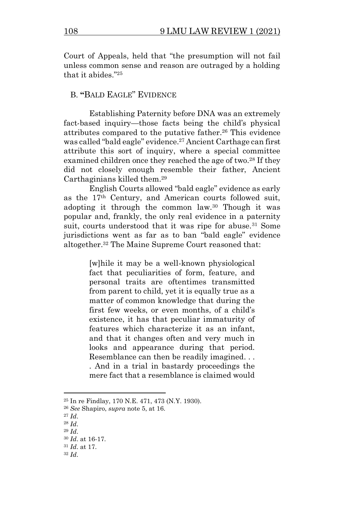Court of Appeals, held that "the presumption will not fail unless common sense and reason are outraged by a holding that it abides." 25

## B. **"**BALD EAGLE" EVIDENCE

Establishing Paternity before DNA was an extremely fact-based inquiry—those facts being the child's physical attributes compared to the putative father.<sup>26</sup> This evidence was called "bald eagle" evidence.<sup>27</sup> Ancient Carthage can first attribute this sort of inquiry, where a special committee examined children once they reached the age of two.<sup>28</sup> If they did not closely enough resemble their father, Ancient Carthaginians killed them. 29

English Courts allowed "bald eagle" evidence as early as the 17th Century, and American courts followed suit, adopting it through the common law.<sup>30</sup> Though it was popular and, frankly, the only real evidence in a paternity suit, courts understood that it was ripe for abuse.<sup>31</sup> Some jurisdictions went as far as to ban "bald eagle" evidence altogether.<sup>32</sup> The Maine Supreme Court reasoned that:

> [w]hile it may be a well-known physiological fact that peculiarities of form, feature, and personal traits are oftentimes transmitted from parent to child, yet it is equally true as a matter of common knowledge that during the first few weeks, or even months, of a child's existence, it has that peculiar immaturity of features which characterize it as an infant, and that it changes often and very much in looks and appearance during that period. Resemblance can then be readily imagined. . . . And in a trial in bastardy proceedings the mere fact that a resemblance is claimed would

<sup>25</sup> In re Findlay, 170 N.E. 471, 473 (N.Y. 1930).

<sup>26</sup> *See* Shapiro, *supra* note 5, at 16.

<sup>27</sup> *Id*.

<sup>28</sup> *Id*.

<sup>29</sup> *Id*.

<sup>30</sup> *Id*. at 16-17.

<sup>31</sup> *Id*. at 17.

<sup>32</sup> *Id*.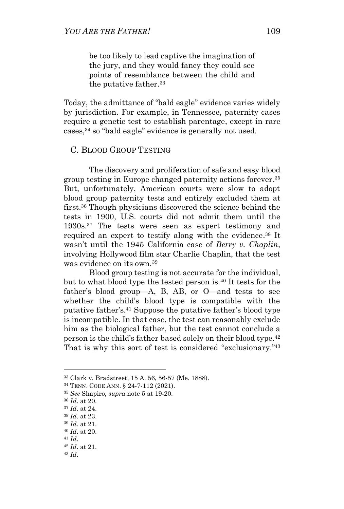be too likely to lead captive the imagination of the jury, and they would fancy they could see points of resemblance between the child and the putative father.<sup>33</sup>

Today, the admittance of "bald eagle" evidence varies widely by jurisdiction. For example, in Tennessee, paternity cases require a genetic test to establish parentage, except in rare cases, <sup>34</sup> so "bald eagle" evidence is generally not used.

#### C. BLOOD GROUP TESTING

The discovery and proliferation of safe and easy blood group testing in Europe changed paternity actions forever. 35 But, unfortunately, American courts were slow to adopt blood group paternity tests and entirely excluded them at first. <sup>36</sup> Though physicians discovered the science behind the tests in 1900, U.S. courts did not admit them until the 1930s.<sup>37</sup> The tests were seen as expert testimony and required an expert to testify along with the evidence. <sup>38</sup> It wasn't until the 1945 California case of *Berry v. Chaplin*, involving Hollywood film star Charlie Chaplin, that the test was evidence on its own.<sup>39</sup>

Blood group testing is not accurate for the individual, but to what blood type the tested person is. <sup>40</sup> It tests for the father's blood group—A, B, AB, or O—and tests to see whether the child's blood type is compatible with the putative father's.<sup>41</sup> Suppose the putative father's blood type is incompatible. In that case, the test can reasonably exclude him as the biological father, but the test cannot conclude a person is the child's father based solely on their blood type.<sup>42</sup> That is why this sort of test is considered "exclusionary."<sup>43</sup>

<sup>33</sup> Clark v. Bradstreet, 15 A. 56, 56-57 (Me. 1888).

<sup>34</sup> TENN. CODE ANN. § 24-7-112 (2021).

<sup>35</sup> *See* Shapiro, *supra* note 5 at 19-20.

<sup>36</sup> *Id*. at 20.

<sup>37</sup> *Id*. at 24.

<sup>38</sup> *Id*. at 23.

<sup>39</sup> *Id*. at 21.

<sup>40</sup> *Id*. at 20.

<sup>41</sup> *Id*.

<sup>42</sup> *Id*. at 21.

<sup>43</sup> *Id*.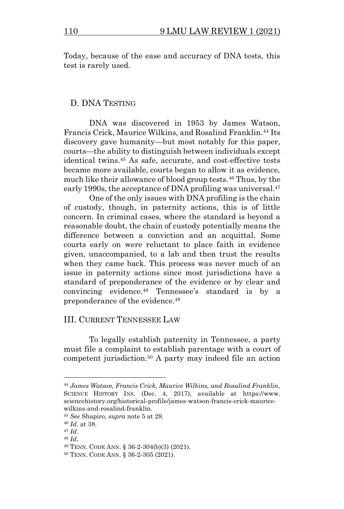Today, because of the ease and accuracy of DNA tests, this test is rarely used.

#### D. DNA TESTING

DNA was discovered in 1953 by James Watson, Francis Crick, Maurice Wilkins, and Rosalind Franklin.<sup>44</sup> Its discovery gave humanity—but most notably for this paper, courts—the ability to distinguish between individuals except identical twins.<sup>45</sup> As safe, accurate, and cost-effective tests became more available, courts began to allow it as evidence, much like their allowance of blood group tests.<sup>46</sup> Thus, by the early 1990s, the acceptance of DNA profiling was universal. 47

One of the only issues with DNA profiling is the chain of custody, though, in paternity actions, this is of little concern. In criminal cases, where the standard is beyond a reasonable doubt, the chain of custody potentially means the difference between a conviction and an acquittal. Some courts early on were reluctant to place faith in evidence given, unaccompanied, to a lab and then trust the results when they came back. This process was never much of an issue in paternity actions since most jurisdictions have a standard of preponderance of the evidence or by clear and convincing evidence.<sup>48</sup> Tennessee's standard is by a preponderance of the evidence.<sup>49</sup>

## III. CURRENT TENNESSEE LAW

To legally establish paternity in Tennessee, a party must file a complaint to establish parentage with a court of competent jurisdiction. <sup>50</sup> A party may indeed file an action

<sup>44</sup> *James Watson, Francis Crick, Maurice Wilkins, and Rosalind Franklin*, SCIENCE HISTORY INS. (Dec. 4, 2017), available at https://www. sciencehistory.org/historical-profile/james-watson-francis-crick-mauricewilkins-and-rosalind-franklin.

<sup>45</sup> *See* Shapiro, *supra* note 5 at 29.

<sup>46</sup> *Id*. at 38.

<sup>47</sup> *Id*.

<sup>48</sup> *Id*.

<sup>49</sup> TENN. CODE ANN. § 36-2-304(b)(3) (2021).

<sup>50</sup> TENN. CODE ANN. § 36-2-305 (2021).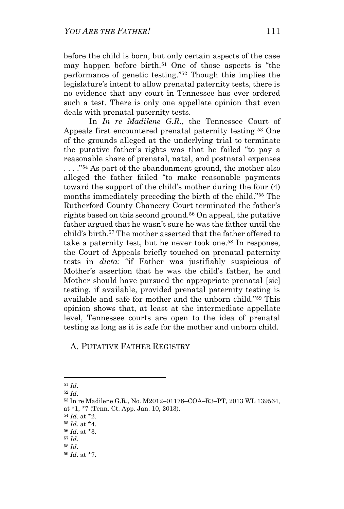before the child is born, but only certain aspects of the case may happen before birth.<sup>51</sup> One of those aspects is "the performance of genetic testing." <sup>52</sup> Though this implies the legislature's intent to allow prenatal paternity tests, there is no evidence that any court in Tennessee has ever ordered such a test. There is only one appellate opinion that even deals with prenatal paternity tests.

In *In re Madilene G.R.*, the Tennessee Court of Appeals first encountered prenatal paternity testing.<sup>53</sup> One of the grounds alleged at the underlying trial to terminate the putative father's rights was that he failed "to pay a reasonable share of prenatal, natal, and postnatal expenses . . . ." <sup>54</sup> As part of the abandonment ground, the mother also alleged the father failed "to make reasonable payments toward the support of the child's mother during the four (4) months immediately preceding the birth of the child." <sup>55</sup> The Rutherford County Chancery Court terminated the father's rights based on this second ground.<sup>56</sup> On appeal, the putative father argued that he wasn't sure he was the father until the child's birth.<sup>57</sup> The mother asserted that the father offered to take a paternity test, but he never took one. <sup>58</sup> In response, the Court of Appeals briefly touched on prenatal paternity tests in *dicta:* "if Father was justifiably suspicious of Mother's assertion that he was the child's father, he and Mother should have pursued the appropriate prenatal [sic] testing, if available, provided prenatal paternity testing is available and safe for mother and the unborn child." <sup>59</sup> This opinion shows that, at least at the intermediate appellate level, Tennessee courts are open to the idea of prenatal testing as long as it is safe for the mother and unborn child.

A. PUTATIVE FATHER REGISTRY

<sup>54</sup> *Id*. at \*2.

<sup>51</sup> *Id*.

<sup>52</sup> *Id*.

<sup>53</sup> In re Madilene G.R., No. M2012–01178–COA–R3–PT, 2013 WL 139564, at \*1, \*7 (Tenn. Ct. App. Jan. 10, 2013).

<sup>55</sup> *Id*. at \*4.

<sup>56</sup> *Id*. at \*3.

<sup>57</sup> *Id*.

<sup>58</sup> *Id*.

<sup>59</sup> *Id*. at \*7.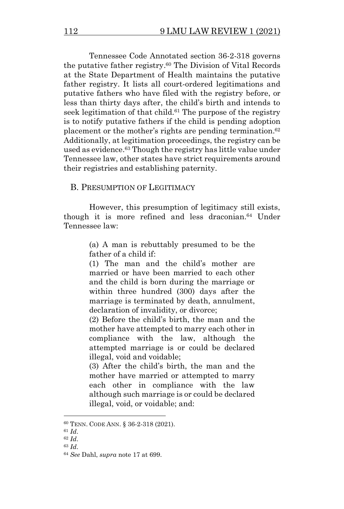Tennessee Code Annotated section 36-2-318 governs the putative father registry. <sup>60</sup> The Division of Vital Records at the State Department of Health maintains the putative father registry. It lists all court-ordered legitimations and putative fathers who have filed with the registry before, or less than thirty days after, the child's birth and intends to seek legitimation of that child.<sup>61</sup> The purpose of the registry is to notify putative fathers if the child is pending adoption placement or the mother's rights are pending termination. 62 Additionally, at legitimation proceedings, the registry can be used as evidence. <sup>63</sup> Though the registry has little value under Tennessee law, other states have strict requirements around their registries and establishing paternity.

## B. PRESUMPTION OF LEGITIMACY

However, this presumption of legitimacy still exists, though it is more refined and less draconian. <sup>64</sup> Under Tennessee law:

> (a) A man is rebuttably presumed to be the father of a child if:

> (1) The man and the child's mother are married or have been married to each other and the child is born during the marriage or within three hundred (300) days after the marriage is terminated by death, annulment, declaration of invalidity, or divorce;

> (2) Before the child's birth, the man and the mother have attempted to marry each other in compliance with the law, although the attempted marriage is or could be declared illegal, void and voidable;

> (3) After the child's birth, the man and the mother have married or attempted to marry each other in compliance with the law although such marriage is or could be declared illegal, void, or voidable; and:

<sup>63</sup> *Id*.

<sup>60</sup> TENN. CODE ANN. § 36-2-318 (2021).

<sup>61</sup> *Id*.

<sup>62</sup> *Id*.

<sup>64</sup> *See* Dahl, *supra* note 17 at 699.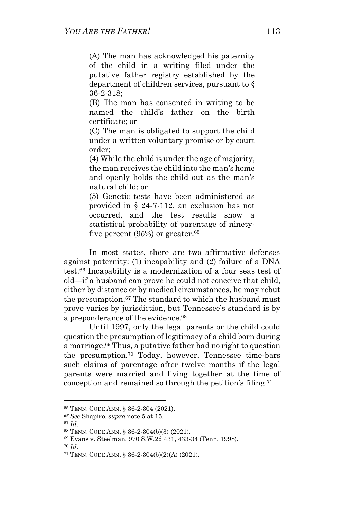(A) The man has acknowledged his paternity of the child in a writing filed under the putative father registry established by the department of children services, pursuant to § 36-2-318;

(B) The man has consented in writing to be named the child's father on the birth certificate; or

(C) The man is obligated to support the child under a written voluntary promise or by court order;

(4) While the child is under the age of majority, the man receives the child into the man's home and openly holds the child out as the man's natural child; or

(5) Genetic tests have been administered as provided in § 24-7-112, an exclusion has not occurred, and the test results show a statistical probability of parentage of ninetyfive percent  $(95%)$  or greater.<sup>65</sup>

In most states, there are two affirmative defenses against paternity: (1) incapability and (2) failure of a DNA test.<sup>66</sup> Incapability is a modernization of a four seas test of old—if a husband can prove he could not conceive that child, either by distance or by medical circumstances, he may rebut the presumption. <sup>67</sup> The standard to which the husband must prove varies by jurisdiction, but Tennessee's standard is by a preponderance of the evidence.<sup>68</sup>

Until 1997, only the legal parents or the child could question the presumption of legitimacy of a child born during a marriage.<sup>69</sup> Thus, a putative father had no right to question the presumption.<sup>70</sup> Today, however, Tennessee time-bars such claims of parentage after twelve months if the legal parents were married and living together at the time of conception and remained so through the petition's filing.<sup>71</sup>

<sup>65</sup> TENN. CODE ANN. § 36-2-304 (2021).

*<sup>66</sup> See* Shapiro*, supra* note 5 at 15.

<sup>67</sup> *Id*.

<sup>68</sup> TENN. CODE ANN. § 36-2-304(b)(3) (2021).

<sup>69</sup> Evans v. Steelman, 970 S.W.2d 431, 433-34 (Tenn. 1998).

<sup>70</sup> *Id*.

<sup>71</sup> TENN. CODE ANN. § 36-2-304(b)(2)(A) (2021).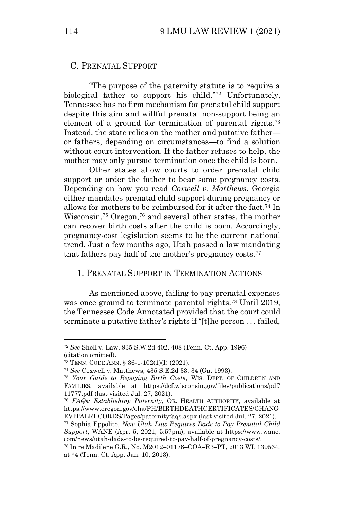## C. PRENATAL SUPPORT

"The purpose of the paternity statute is to require a biological father to support his child." <sup>72</sup> Unfortunately, Tennessee has no firm mechanism for prenatal child support despite this aim and willful prenatal non-support being an element of a ground for termination of parental rights.<sup>73</sup> Instead, the state relies on the mother and putative father or fathers, depending on circumstances—to find a solution without court intervention. If the father refuses to help, the mother may only pursue termination once the child is born.

Other states allow courts to order prenatal child support or order the father to bear some pregnancy costs. Depending on how you read *Coxwell v. Matthews*, Georgia either mandates prenatal child support during pregnancy or allows for mothers to be reimbursed for it after the fact. <sup>74</sup> In Wisconsin,<sup>75</sup> Oregon,<sup>76</sup> and several other states, the mother can recover birth costs after the child is born. Accordingly, pregnancy-cost legislation seems to be the current national trend. Just a few months ago, Utah passed a law mandating that fathers pay half of the mother's pregnancy costs.<sup>77</sup>

#### 1. PRENATAL SUPPORT IN TERMINATION ACTIONS

As mentioned above, failing to pay prenatal expenses was once ground to terminate parental rights.<sup>78</sup> Until 2019, the Tennessee Code Annotated provided that the court could terminate a putative father's rights if "[t]he person . . . failed,

<sup>72</sup> *See* Shell v. Law, 935 S.W.2d 402, 408 (Tenn. Ct. App. 1996) (citation omitted).

<sup>73</sup> TENN. CODE ANN. § 36-1-102(1)(I) (2021).

<sup>74</sup> *See* Coxwell v. Matthews, 435 S.E.2d 33, 34 (Ga. 1993).

<sup>75</sup> *Your Guide to Repaying Birth Costs*, WIS. DEPT. OF CHILDREN AND FAMILIES, available at https://dcf.wisconsin.gov/files/publications/pdf/ 11777.pdf (last visited Jul. 27, 2021).

<sup>76</sup> *FAQs: Establishing Paternity*, OR. HEALTH AUTHORITY, available at https://www.oregon.gov/oha/PH/BIRTHDEATHCERTIFICATES/CHANG EVITALRECORDS/Pages/paternityfaqs.aspx (last visited Jul. 27, 2021).

<sup>77</sup> Sophia Eppolito, *New Utah Law Requires Dads to Pay Prenatal Child Support*, WANE (Apr. 5, 2021, 5:57pm), available at https://www.wane. com/news/utah-dads-to-be-required-to-pay-half-of-pregnancy-costs/.

<sup>78</sup> In re Madilene G.R., No. M2012–01178–COA–R3–PT, 2013 WL 139564, at \*4 (Tenn. Ct. App. Jan. 10, 2013).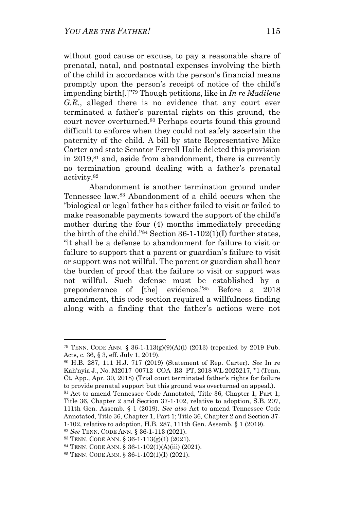without good cause or excuse, to pay a reasonable share of prenatal, natal, and postnatal expenses involving the birth of the child in accordance with the person's financial means promptly upon the person's receipt of notice of the child's impending birth[.]" <sup>79</sup> Though petitions, like in *In re Madilene G.R.*, alleged there is no evidence that any court ever terminated a father's parental rights on this ground, the court never overturned. <sup>80</sup> Perhaps courts found this ground difficult to enforce when they could not safely ascertain the paternity of the child. A bill by state Representative Mike Carter and state Senator Ferrell Haile deleted this provision in 2019, <sup>81</sup> and, aside from abandonment, there is currently no termination ground dealing with a father's prenatal activity.<sup>82</sup>

Abandonment is another termination ground under Tennessee law. <sup>83</sup> Abandonment of a child occurs when the "biological or legal father has either failed to visit or failed to make reasonable payments toward the support of the child's mother during the four (4) months immediately preceding the birth of the child." <sup>84</sup> Section 36-1-102(1)(I) further states, "it shall be a defense to abandonment for failure to visit or failure to support that a parent or guardian's failure to visit or support was not willful. The parent or guardian shall bear the burden of proof that the failure to visit or support was not willful. Such defense must be established by a preponderance of [the] evidence." <sup>85</sup> Before a 2018 amendment, this code section required a willfulness finding along with a finding that the father's actions were not

<sup>79</sup> TENN. CODE ANN. § 36-1-113(g)(9)(A)(i) (2013) (repealed by 2019 Pub. Acts, c. 36, § 3, eff. July 1, 2019).

<sup>80</sup> H.B. 287, 111 H.J. 717 (2019) (Statement of Rep. Carter). *See* In re Kah'nyia J., No. M2017–00712–COA–R3–PT, 2018 WL 2025217, \*1 (Tenn. Ct. App., Apr. 30, 2018) (Trial court terminated father's rights for failure to provide prenatal support but this ground was overturned on appeal.).

<sup>81</sup> Act to amend Tennessee Code Annotated, Title 36, Chapter 1, Part 1; Title 36, Chapter 2 and Section 37-1-102, relative to adoption, S.B. 207, 111th Gen. Assemb. § 1 (2019). *See also* Act to amend Tennessee Code Annotated, Title 36, Chapter 1, Part 1; Title 36, Chapter 2 and Section 37- 1-102, relative to adoption, H.B. 287, 111th Gen. Assemb. § 1 (2019).

<sup>82</sup> *See* TENN. CODE ANN. § 36-1-113 (2021).

<sup>83</sup> TENN. CODE ANN. § 36-1-113(g)(1) (2021).

<sup>84</sup> TENN. CODE ANN. § 36-1-102(1)(A)(iii) (2021).

<sup>85</sup> TENN. CODE ANN. § 36-1-102(1)(I) (2021).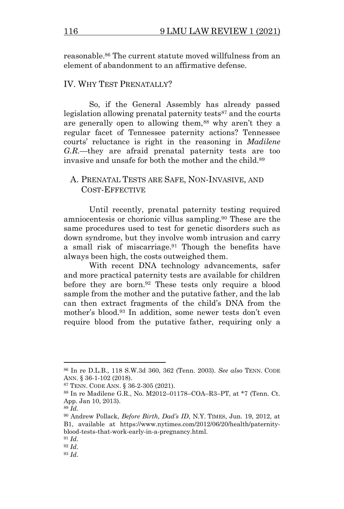reasonable.<sup>86</sup> The current statute moved willfulness from an element of abandonment to an affirmative defense.

#### IV. WHY TEST PRENATALLY?

So, if the General Assembly has already passed legislation allowing prenatal paternity tests<sup>87</sup> and the courts are generally open to allowing them,<sup>88</sup> why aren't they a regular facet of Tennessee paternity actions? Tennessee courts' reluctance is right in the reasoning in *Madilene G.R.*—they are afraid prenatal paternity tests are too invasive and unsafe for both the mother and the child.<sup>89</sup>

## A. PRENATAL TESTS ARE SAFE, NON-INVASIVE, AND COST-EFFECTIVE

Until recently, prenatal paternity testing required amniocentesis or chorionic villus sampling.<sup>90</sup> These are the same procedures used to test for genetic disorders such as down syndrome, but they involve womb intrusion and carry a small risk of miscarriage.<sup>91</sup> Though the benefits have always been high, the costs outweighed them.

With recent DNA technology advancements, safer and more practical paternity tests are available for children before they are born.<sup>92</sup> These tests only require a blood sample from the mother and the putative father, and the lab can then extract fragments of the child's DNA from the mother's blood.<sup>93</sup> In addition, some newer tests don't even require blood from the putative father, requiring only a

<sup>86</sup> In re D.L.B., 118 S.W.3d 360, 362 (Tenn. 2003). *See also* TENN. CODE ANN. § 36-1-102 (2018).

<sup>87</sup> TENN. CODE ANN. § 36-2-305 (2021).

<sup>88</sup> In re Madilene G.R., No. M2012–01178–COA–R3–PT, at \*7 (Tenn. Ct. App. Jan 10, 2013).

<sup>89</sup> *Id*.

<sup>90</sup> Andrew Pollack, *Before Birth, Dad's ID*, N.Y. TIMES, Jun. 19, 2012, at B1, available at https://www.nytimes.com/2012/06/20/health/paternityblood-tests-that-work-early-in-a-pregnancy.html.

<sup>91</sup> *Id*.

<sup>92</sup> *Id*.

<sup>93</sup> *Id*.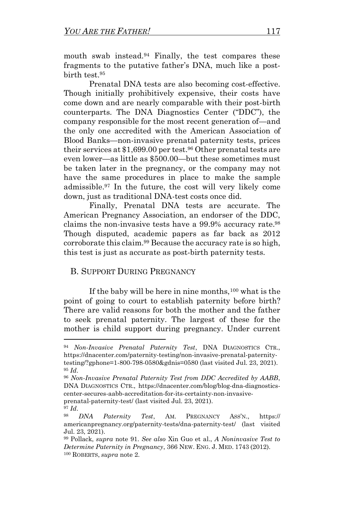mouth swab instead. <sup>94</sup> Finally, the test compares these fragments to the putative father's DNA, much like a postbirth test. 95

Prenatal DNA tests are also becoming cost-effective. Though initially prohibitively expensive, their costs have come down and are nearly comparable with their post-birth counterparts. The DNA Diagnostics Center ("DDC"), the company responsible for the most recent generation of—and the only one accredited with the American Association of Blood Banks—non-invasive prenatal paternity tests, prices their services at \$1,699.00 per test.<sup>96</sup> Other prenatal tests are even lower—as little as \$500.00—but these sometimes must be taken later in the pregnancy, or the company may not have the same procedures in place to make the sample admissible.<sup>97</sup> In the future, the cost will very likely come down, just as traditional DNA-test costs once did.

Finally, Prenatal DNA tests are accurate. The American Pregnancy Association, an endorser of the DDC, claims the non-invasive tests have a 99.9% accuracy rate.<sup>98</sup> Though disputed, academic papers as far back as 2012 corroborate this claim.<sup>99</sup> Because the accuracy rate is so high, this test is just as accurate as post-birth paternity tests.

## B. SUPPORT DURING PREGNANCY

If the baby will be here in nine months,  $100$  what is the point of going to court to establish paternity before birth? There are valid reasons for both the mother and the father to seek prenatal paternity. The largest of these for the mother is child support during pregnancy. Under current

<sup>94</sup> *Non-Invasive Prenatal Paternity Test*, DNA DIAGNOSTICS CTR., https://dnacenter.com/paternity-testing/non-invasive-prenatal-paternitytesting/?gphone=1-800-798-0580&gdnis=0580 (last visited Jul. 23, 2021). <sup>95</sup> *Id*.

<sup>96</sup> *Non-Invasive Prenatal Paternity Test from DDC Accredited by AABB*, DNA DIAGNOSTICS CTR., https://dnacenter.com/blog/blog-dna-diagnosticscenter-secures-aabb-accreditation-for-its-certainty-non-invasiveprenatal-paternity-test/ (last visited Jul. 23, 2021).

<sup>97</sup> *Id*.

<sup>98</sup> *DNA Paternity Test*, AM. PREGNANCY ASS'N., https:// americanpregnancy.org/paternity-tests/dna-paternity-test/ (last visited Jul. 23, 2021).

<sup>99</sup> Pollack, *supra* note 91. *See also* Xin Guo et al., *A Noninvasive Test to Determine Paternity in Pregnancy*, 366 NEW. ENG. J. MED. 1743 (2012). <sup>100</sup> ROBERTS, *supra* note 2.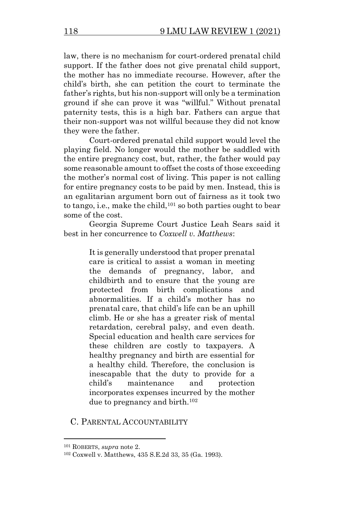law, there is no mechanism for court-ordered prenatal child support. If the father does not give prenatal child support, the mother has no immediate recourse. However, after the child's birth, she can petition the court to terminate the father's rights, but his non-support will only be a termination ground if she can prove it was "willful." Without prenatal paternity tests, this is a high bar. Fathers can argue that their non-support was not willful because they did not know they were the father.

Court-ordered prenatal child support would level the playing field. No longer would the mother be saddled with the entire pregnancy cost, but, rather, the father would pay some reasonable amount to offset the costs of those exceeding the mother's normal cost of living. This paper is not calling for entire pregnancy costs to be paid by men. Instead, this is an egalitarian argument born out of fairness as it took two to tango, i.e., make the child, <sup>101</sup> so both parties ought to bear some of the cost.

Georgia Supreme Court Justice Leah Sears said it best in her concurrence to *Coxwell v. Matthews*:

> It is generally understood that proper prenatal care is critical to assist a woman in meeting the demands of pregnancy, labor, and childbirth and to ensure that the young are protected from birth complications and abnormalities. If a child's mother has no prenatal care, that child's life can be an uphill climb. He or she has a greater risk of mental retardation, cerebral palsy, and even death. Special education and health care services for these children are costly to taxpayers. A healthy pregnancy and birth are essential for a healthy child. Therefore, the conclusion is inescapable that the duty to provide for a child's maintenance and protection incorporates expenses incurred by the mother due to pregnancy and birth.<sup>102</sup>

C. PARENTAL ACCOUNTABILITY

<sup>101</sup> ROBERTS, *supra* note 2.

<sup>102</sup> Coxwell v. Matthews, 435 S.E.2d 33, 35 (Ga. 1993).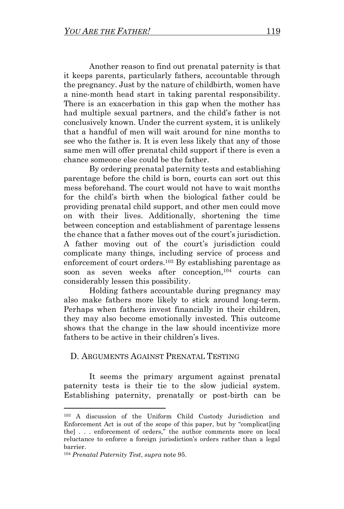Another reason to find out prenatal paternity is that it keeps parents, particularly fathers, accountable through the pregnancy. Just by the nature of childbirth, women have a nine-month head start in taking parental responsibility. There is an exacerbation in this gap when the mother has had multiple sexual partners, and the child's father is not conclusively known. Under the current system, it is unlikely that a handful of men will wait around for nine months to see who the father is. It is even less likely that any of those same men will offer prenatal child support if there is even a chance someone else could be the father.

By ordering prenatal paternity tests and establishing parentage before the child is born, courts can sort out this mess beforehand. The court would not have to wait months for the child's birth when the biological father could be providing prenatal child support, and other men could move on with their lives. Additionally, shortening the time between conception and establishment of parentage lessens the chance that a father moves out of the court's jurisdiction. A father moving out of the court's jurisdiction could complicate many things, including service of process and enforcement of court orders.<sup>103</sup> By establishing parentage as soon as seven weeks after conception,<sup>104</sup> courts can considerably lessen this possibility.

Holding fathers accountable during pregnancy may also make fathers more likely to stick around long-term. Perhaps when fathers invest financially in their children, they may also become emotionally invested. This outcome shows that the change in the law should incentivize more fathers to be active in their children's lives.

## D. ARGUMENTS AGAINST PRENATAL TESTING

It seems the primary argument against prenatal paternity tests is their tie to the slow judicial system. Establishing paternity, prenatally or post-birth can be

<sup>103</sup> A discussion of the Uniform Child Custody Jurisdiction and Enforcement Act is out of the scope of this paper, but by "complicat[ing the] . . . enforcement of orders," the author comments more on local reluctance to enforce a foreign jurisdiction's orders rather than a legal barrier.

<sup>104</sup> *Prenatal Paternity Test*, *supra* note 95.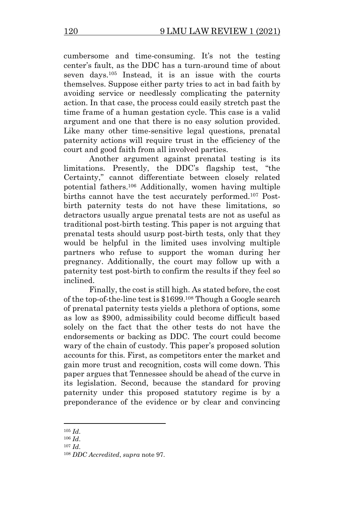cumbersome and time-consuming. It's not the testing center's fault, as the DDC has a turn-around time of about seven days.<sup>105</sup> Instead, it is an issue with the courts themselves. Suppose either party tries to act in bad faith by avoiding service or needlessly complicating the paternity action. In that case, the process could easily stretch past the time frame of a human gestation cycle. This case is a valid argument and one that there is no easy solution provided. Like many other time-sensitive legal questions, prenatal paternity actions will require trust in the efficiency of the court and good faith from all involved parties.

Another argument against prenatal testing is its limitations. Presently, the DDC's flagship test, "the Certainty," cannot differentiate between closely related potential fathers.<sup>106</sup> Additionally, women having multiple births cannot have the test accurately performed.<sup>107</sup> Postbirth paternity tests do not have these limitations, so detractors usually argue prenatal tests are not as useful as traditional post-birth testing. This paper is not arguing that prenatal tests should usurp post-birth tests, only that they would be helpful in the limited uses involving multiple partners who refuse to support the woman during her pregnancy. Additionally, the court may follow up with a paternity test post-birth to confirm the results if they feel so inclined.

Finally, the cost is still high. As stated before, the cost of the top-of-the-line test is \$1699.<sup>108</sup> Though a Google search of prenatal paternity tests yields a plethora of options, some as low as \$900, admissibility could become difficult based solely on the fact that the other tests do not have the endorsements or backing as DDC. The court could become wary of the chain of custody. This paper's proposed solution accounts for this. First, as competitors enter the market and gain more trust and recognition, costs will come down. This paper argues that Tennessee should be ahead of the curve in its legislation. Second, because the standard for proving paternity under this proposed statutory regime is by a preponderance of the evidence or by clear and convincing

<sup>105</sup> *Id*.

<sup>106</sup> *Id*.

<sup>107</sup> *Id*.

<sup>108</sup> *DDC Accredited*, *supra* note 97.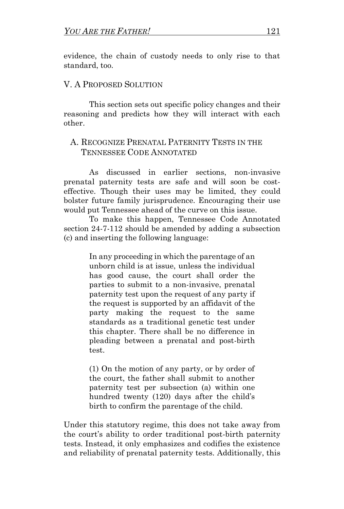evidence, the chain of custody needs to only rise to that standard, too.

### V. A PROPOSED SOLUTION

This section sets out specific policy changes and their reasoning and predicts how they will interact with each other.

## A. RECOGNIZE PRENATAL PATERNITY TESTS IN THE TENNESSEE CODE ANNOTATED

As discussed in earlier sections, non-invasive prenatal paternity tests are safe and will soon be costeffective. Though their uses may be limited, they could bolster future family jurisprudence. Encouraging their use would put Tennessee ahead of the curve on this issue.

To make this happen, Tennessee Code Annotated section 24-7-112 should be amended by adding a subsection (c) and inserting the following language:

> In any proceeding in which the parentage of an unborn child is at issue, unless the individual has good cause, the court shall order the parties to submit to a non-invasive, prenatal paternity test upon the request of any party if the request is supported by an affidavit of the party making the request to the same standards as a traditional genetic test under this chapter. There shall be no difference in pleading between a prenatal and post-birth test.

> (1) On the motion of any party, or by order of the court, the father shall submit to another paternity test per subsection (a) within one hundred twenty (120) days after the child's birth to confirm the parentage of the child.

Under this statutory regime, this does not take away from the court's ability to order traditional post-birth paternity tests. Instead, it only emphasizes and codifies the existence and reliability of prenatal paternity tests. Additionally, this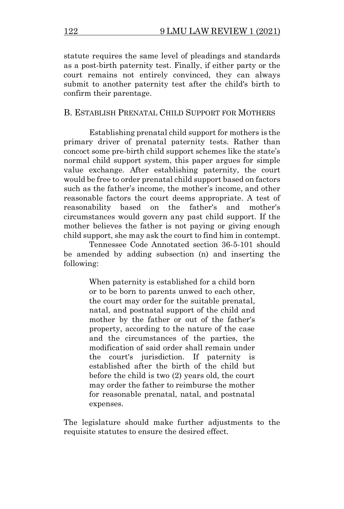statute requires the same level of pleadings and standards as a post-birth paternity test. Finally, if either party or the court remains not entirely convinced, they can always submit to another paternity test after the child's birth to confirm their parentage.

## B. ESTABLISH PRENATAL CHILD SUPPORT FOR MOTHERS

Establishing prenatal child support for mothers is the primary driver of prenatal paternity tests. Rather than concoct some pre-birth child support schemes like the state's normal child support system, this paper argues for simple value exchange. After establishing paternity, the court would be free to order prenatal child support based on factors such as the father's income, the mother's income, and other reasonable factors the court deems appropriate. A test of reasonability based on the father's and mother's circumstances would govern any past child support. If the mother believes the father is not paying or giving enough child support, she may ask the court to find him in contempt.

Tennessee Code Annotated section 36-5-101 should be amended by adding subsection (n) and inserting the following:

> When paternity is established for a child born or to be born to parents unwed to each other, the court may order for the suitable prenatal, natal, and postnatal support of the child and mother by the father or out of the father's property, according to the nature of the case and the circumstances of the parties, the modification of said order shall remain under the court's jurisdiction. If paternity is established after the birth of the child but before the child is two (2) years old, the court may order the father to reimburse the mother for reasonable prenatal, natal, and postnatal expenses.

The legislature should make further adjustments to the requisite statutes to ensure the desired effect.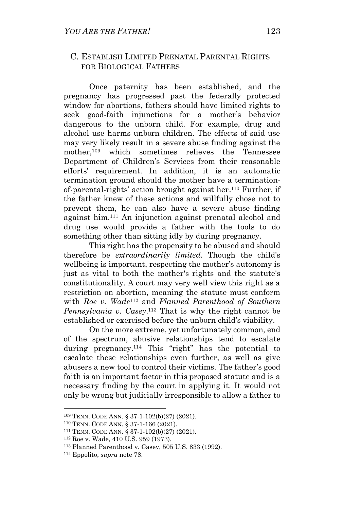## C. ESTABLISH LIMITED PRENATAL PARENTAL RIGHTS FOR BIOLOGICAL FATHERS

Once paternity has been established, and the pregnancy has progressed past the federally protected window for abortions, fathers should have limited rights to seek good-faith injunctions for a mother's behavior dangerous to the unborn child. For example, drug and alcohol use harms unborn children. The effects of said use may very likely result in a severe abuse finding against the mother,<sup>109</sup> which sometimes relieves the Tennessee Department of Children's Services from their reasonable efforts' requirement. In addition, it is an automatic termination ground should the mother have a terminationof-parental-rights' action brought against her. <sup>110</sup> Further, if the father knew of these actions and willfully chose not to prevent them, he can also have a severe abuse finding against him.<sup>111</sup> An injunction against prenatal alcohol and drug use would provide a father with the tools to do something other than sitting idly by during pregnancy.

This right has the propensity to be abused and should therefore be *extraordinarily limited*. Though the child's wellbeing is important, respecting the mother's autonomy is just as vital to both the mother's rights and the statute's constitutionality. A court may very well view this right as a restriction on abortion, meaning the statute must conform with *Roe v. Wade*<sup>112</sup> and *Planned Parenthood of Southern Pennsylvania v. Casey*. <sup>113</sup> That is why the right cannot be established or exercised before the unborn child's viability.

On the more extreme, yet unfortunately common, end of the spectrum, abusive relationships tend to escalate during pregnancy. <sup>114</sup> This "right" has the potential to escalate these relationships even further, as well as give abusers a new tool to control their victims. The father's good faith is an important factor in this proposed statute and is a necessary finding by the court in applying it. It would not only be wrong but judicially irresponsible to allow a father to

<sup>109</sup> TENN. CODE ANN. § 37-1-102(b)(27) (2021).

<sup>110</sup> TENN. CODE ANN. § 37-1-166 (2021).

<sup>111</sup> TENN. CODE ANN. § 37-1-102(b)(27) (2021).

<sup>112</sup> Roe v. Wade, 410 U.S. 959 (1973).

<sup>113</sup> Planned Parenthood v. Casey, 505 U.S. 833 (1992).

<sup>114</sup> Eppolito, *supra* note 78.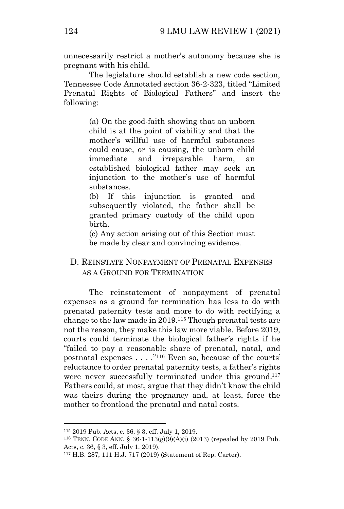unnecessarily restrict a mother's autonomy because she is pregnant with his child.

The legislature should establish a new code section, Tennessee Code Annotated section 36-2-323, titled "Limited Prenatal Rights of Biological Fathers" and insert the following:

> (a) On the good-faith showing that an unborn child is at the point of viability and that the mother's willful use of harmful substances could cause, or is causing, the unborn child immediate and irreparable harm, an established biological father may seek an injunction to the mother's use of harmful substances.

> (b) If this injunction is granted and subsequently violated, the father shall be granted primary custody of the child upon birth.

> (c) Any action arising out of this Section must be made by clear and convincing evidence.

## D. REINSTATE NONPAYMENT OF PRENATAL EXPENSES AS A GROUND FOR TERMINATION

The reinstatement of nonpayment of prenatal expenses as a ground for termination has less to do with prenatal paternity tests and more to do with rectifying a change to the law made in 2019.<sup>115</sup> Though prenatal tests are not the reason, they make this law more viable. Before 2019, courts could terminate the biological father's rights if he "failed to pay a reasonable share of prenatal, natal, and postnatal expenses . . . ." <sup>116</sup> Even so, because of the courts' reluctance to order prenatal paternity tests, a father's rights were never successfully terminated under this ground.<sup>117</sup> Fathers could, at most, argue that they didn't know the child was theirs during the pregnancy and, at least, force the mother to frontload the prenatal and natal costs.

<sup>115</sup> 2019 Pub. Acts, c. 36, § 3, eff. July 1, 2019.

<sup>116</sup> TENN. CODE ANN. § 36-1-113(g)(9)(A)(i) (2013) (repealed by 2019 Pub. Acts, c. 36, § 3, eff. July 1, 2019).

<sup>117</sup> H.B. 287, 111 H.J. 717 (2019) (Statement of Rep. Carter).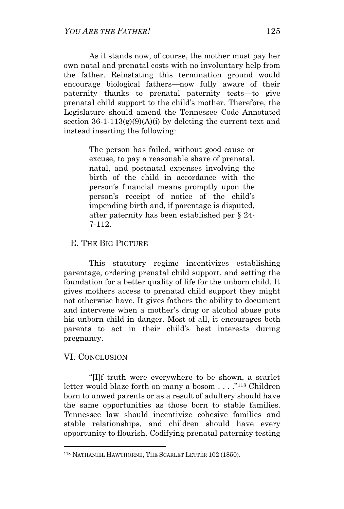As it stands now, of course, the mother must pay her own natal and prenatal costs with no involuntary help from the father. Reinstating this termination ground would encourage biological fathers—now fully aware of their paternity thanks to prenatal paternity tests—to give prenatal child support to the child's mother. Therefore, the Legislature should amend the Tennessee Code Annotated section  $36-1-113(g)(9)(A)(i)$  by deleting the current text and instead inserting the following:

> The person has failed, without good cause or excuse, to pay a reasonable share of prenatal, natal, and postnatal expenses involving the birth of the child in accordance with the person's financial means promptly upon the person's receipt of notice of the child's impending birth and, if parentage is disputed, after paternity has been established per § 24- 7-112.

## E. THE BIG PICTURE

This statutory regime incentivizes establishing parentage, ordering prenatal child support, and setting the foundation for a better quality of life for the unborn child. It gives mothers access to prenatal child support they might not otherwise have. It gives fathers the ability to document and intervene when a mother's drug or alcohol abuse puts his unborn child in danger. Most of all, it encourages both parents to act in their child's best interests during pregnancy.

## VI. CONCLUSION

"[I]f truth were everywhere to be shown, a scarlet letter would blaze forth on many a bosom . . . ." <sup>118</sup> Children born to unwed parents or as a result of adultery should have the same opportunities as those born to stable families. Tennessee law should incentivize cohesive families and stable relationships, and children should have every opportunity to flourish. Codifying prenatal paternity testing

<sup>118</sup> NATHANIEL HAWTHORNE, THE SCARLET LETTER 102 (1850).